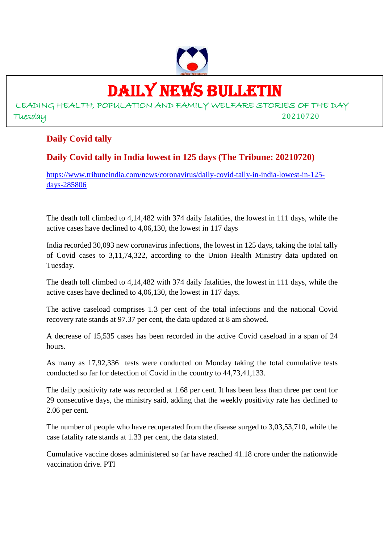

# DAILY NEWS BULLETIN

LEADING HEALTH, POPULATION AND FAMILY WELFARE STORIES OF THE DAY Tuesday 20210720

### **Daily Covid tally**

### **Daily Covid tally in India lowest in 125 days (The Tribune: 20210720)**

https://www.tribuneindia.com/news/coronavirus/daily-covid-tally-in-india-lowest-in-125 days-285806

The death toll climbed to 4,14,482 with 374 daily fatalities, the lowest in 111 days, while the active cases have declined to 4,06,130, the lowest in 117 days

India recorded 30,093 new coronavirus infections, the lowest in 125 days, taking the total tally of Covid cases to 3,11,74,322, according to the Union Health Ministry data updated on Tuesday.

The death toll climbed to 4,14,482 with 374 daily fatalities, the lowest in 111 days, while the active cases have declined to 4,06,130, the lowest in 117 days.

The active caseload comprises 1.3 per cent of the total infections and the national Covid recovery rate stands at 97.37 per cent, the data updated at 8 am showed.

A decrease of 15,535 cases has been recorded in the active Covid caseload in a span of 24 hours.

As many as 17,92,336 tests were conducted on Monday taking the total cumulative tests conducted so far for detection of Covid in the country to 44,73,41,133.

The daily positivity rate was recorded at 1.68 per cent. It has been less than three per cent for 29 consecutive days, the ministry said, adding that the weekly positivity rate has declined to 2.06 per cent.

The number of people who have recuperated from the disease surged to 3,03,53,710, while the case fatality rate stands at 1.33 per cent, the data stated.

Cumulative vaccine doses administered so far have reached 41.18 crore under the nationwide vaccination drive. PTI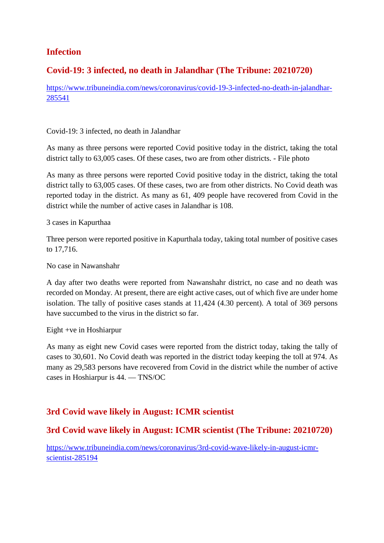### **Infection**

### **Covid-19: 3 infected, no death in Jalandhar (The Tribune: 20210720)**

https://www.tribuneindia.com/news/coronavirus/covid-19-3-infected-no-death-in-jalandhar-285541

Covid-19: 3 infected, no death in Jalandhar

As many as three persons were reported Covid positive today in the district, taking the total district tally to 63,005 cases. Of these cases, two are from other districts. - File photo

As many as three persons were reported Covid positive today in the district, taking the total district tally to 63,005 cases. Of these cases, two are from other districts. No Covid death was reported today in the district. As many as 61, 409 people have recovered from Covid in the district while the number of active cases in Jalandhar is 108.

3 cases in Kapurthaa

Three person were reported positive in Kapurthala today, taking total number of positive cases to 17,716.

No case in Nawanshahr

A day after two deaths were reported from Nawanshahr district, no case and no death was recorded on Monday. At present, there are eight active cases, out of which five are under home isolation. The tally of positive cases stands at 11,424 (4.30 percent). A total of 369 persons have succumbed to the virus in the district so far.

Eight +ve in Hoshiarpur

As many as eight new Covid cases were reported from the district today, taking the tally of cases to 30,601. No Covid death was reported in the district today keeping the toll at 974. As many as 29,583 persons have recovered from Covid in the district while the number of active cases in Hoshiarpur is 44. — TNS/OC

### **3rd Covid wave likely in August: ICMR scientist**

### **3rd Covid wave likely in August: ICMR scientist (The Tribune: 20210720)**

https://www.tribuneindia.com/news/coronavirus/3rd-covid-wave-likely-in-august-icmrscientist-285194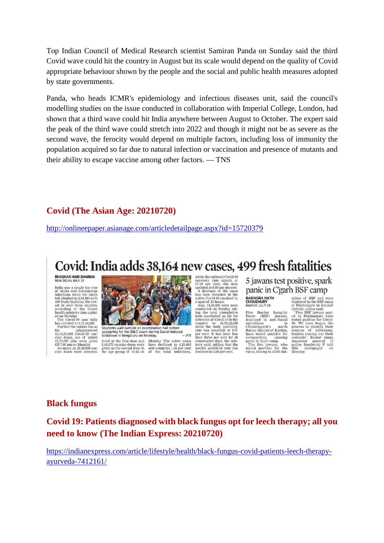Top Indian Council of Medical Research scientist Samiran Panda on Sunday said the third Covid wave could hit the country in August but its scale would depend on the quality of Covid appropriate behaviour shown by the people and the social and public health measures adopted by state governments.

Panda, who heads ICMR's epidemiology and infectious diseases unit, said the council's modelling studies on the issue conducted in collaboration with Imperial College, London, had shown that a third wave could hit India anywhere between August to October. The expert said the peak of the third wave could stretch into 2022 and though it might not be as severe as the second wave, the ferocity would depend on multiple factors, including loss of immunity the population acquired so far due to natural infection or vaccination and presence of mutants and their ability to escape vaccine among other factors. — TNS

### **Covid (The Asian Age: 20210720)**

http://onlineepaper.asianage.com/articledetailpage.aspx?id=15720379

## Covid: India adds 38,164 new cases, 499 fresh fatalities

### **BHASKAR HARI SHARMA**<br>NEW DELHI, JULY 19

Next occurrence to the distance of 33,164 new coronavirus<br>infections while the death<br>told climbed to 4,14,108 with<br>the distance to the distance of the final conditions the distance<br>according to the Union health ministry d

Far unter the nation has so<br>far administered<br>41,13,55,665 Covid-19 vac-<br>cine doses, out of which<br>47,77,697 jabs were given<br>till 7.00 pm on Monday. As many as 22,38,900 vaccine doses were adminis-



Students wait outside an examination hall before<br>appearing for the SSLC exam during Covid-induced<br>lockdown in Bengaluru on Monday.

tered as the first dose and Monday. The active cases  $1,48,075$  vaccine doses were have declined to  $4,21,685$  given as the second dose in and comprise 1.35 per cent the age group of 18-44 on of the total infections,

while the national Covid-19 while the national Covid-19<br>recovery rate stands at<br> $97.32$  per cent, the data<br>updated at 8.00 am showed.<br>A decrease of 995 cases<br>has been recorded in the<br>active Covid-19 caseload in

active Covid-19 caseload in<br>
a span of 24 hours.<br>
Also, 14,63,593 tests were<br>
conducted on Sunday, taking the total cumulative<br>
tosts conducted so far for<br>
tests conducted so far for<br>
cetterion of Covid-19 in the<br>
cetteri detection of Covid-19 in the density of  $44,54,22,256$  while the daily positivity rate was recorded at 2.61 han three per cent for 28 consecutive days, the minimum charge per cent for 28 consecutive days, the minimum week 5 jawans test positive, spark panic in C'garh BSF camp

#### **RABINDRA NATH** RAIPUR, ILI V 19

Five Border Security<br>Force (BSF) jawans,<br>deployed in anti-Naxal depiered in anti-Naxa<br>
operations<br>
Chhattisgarh's north<br>
Bastar district of Kanker,<br>
have tested positive for coronavirus. causing coronavirus, causing<br>panic in their camp.<br>The five jawans, who<br>tested positive for the<br>virus, belong to 157th bat-

**TEOT CATTLY**<br>
tainon of BSF and were<br>
deployed in the BSF camp<br>
at Pakhanjore in Kanker<br>
district, police said.<br>
"Five BSF jawars post-<br>
each in Pakhanjore have<br>
tested positive for Covid-<br>
19. We have begun the<br>
sources besides trading out the<br>contacts", Bastar range<br>threector general of<br>police Sunderraj P told<br>this newspaper on<br>Monday.

### **Black fungus**

### **Covid 19: Patients diagnosed with black fungus opt for leech therapy; all you need to know (The Indian Express: 20210720)**

https://indianexpress.com/article/lifestyle/health/black-fungus-covid-patients-leech-therapyayurveda-7412161/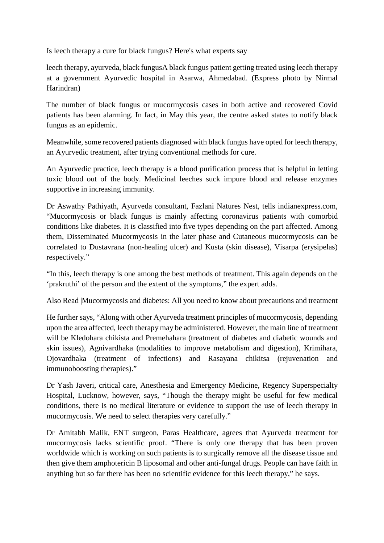Is leech therapy a cure for black fungus? Here's what experts say

leech therapy, ayurveda, black fungusA black fungus patient getting treated using leech therapy at a government Ayurvedic hospital in Asarwa, Ahmedabad. (Express photo by Nirmal Harindran)

The number of black fungus or mucormycosis cases in both active and recovered Covid patients has been alarming. In fact, in May this year, the centre asked states to notify black fungus as an epidemic.

Meanwhile, some recovered patients diagnosed with black fungus have opted for leech therapy, an Ayurvedic treatment, after trying conventional methods for cure.

An Ayurvedic practice, leech therapy is a blood purification process that is helpful in letting toxic blood out of the body. Medicinal leeches suck impure blood and release enzymes supportive in increasing immunity.

Dr Aswathy Pathiyath, Ayurveda consultant, Fazlani Natures Nest, tells indianexpress.com, "Mucormycosis or black fungus is mainly affecting coronavirus patients with comorbid conditions like diabetes. It is classified into five types depending on the part affected. Among them, Disseminated Mucormycosis in the later phase and Cutaneous mucormycosis can be correlated to Dustavrana (non-healing ulcer) and Kusta (skin disease), Visarpa (erysipelas) respectively."

"In this, leech therapy is one among the best methods of treatment. This again depends on the 'prakruthi' of the person and the extent of the symptoms," the expert adds.

Also Read |Mucormycosis and diabetes: All you need to know about precautions and treatment

He further says, "Along with other Ayurveda treatment principles of mucormycosis, depending upon the area affected, leech therapy may be administered. However, the main line of treatment will be Kledohara chikista and Premehahara (treatment of diabetes and diabetic wounds and skin issues), Agnivardhaka (modalities to improve metabolism and digestion), Krimihara, Ojovardhaka (treatment of infections) and Rasayana chikitsa (rejuvenation and immunoboosting therapies)."

Dr Yash Javeri, critical care, Anesthesia and Emergency Medicine, Regency Superspecialty Hospital, Lucknow, however, says, "Though the therapy might be useful for few medical conditions, there is no medical literature or evidence to support the use of leech therapy in mucormycosis. We need to select therapies very carefully."

Dr Amitabh Malik, ENT surgeon, Paras Healthcare, agrees that Ayurveda treatment for mucormycosis lacks scientific proof. "There is only one therapy that has been proven worldwide which is working on such patients is to surgically remove all the disease tissue and then give them amphotericin B liposomal and other anti-fungal drugs. People can have faith in anything but so far there has been no scientific evidence for this leech therapy," he says.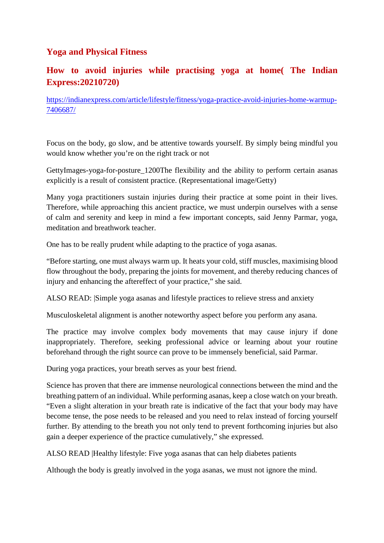### **Yoga and Physical Fitness**

### **How to avoid injuries while practising yoga at home( The Indian Express:20210720)**

https://indianexpress.com/article/lifestyle/fitness/yoga-practice-avoid-injuries-home-warmup-7406687/

Focus on the body, go slow, and be attentive towards yourself. By simply being mindful you would know whether you're on the right track or not

GettyImages-yoga-for-posture\_1200The flexibility and the ability to perform certain asanas explicitly is a result of consistent practice. (Representational image/Getty)

Many yoga practitioners sustain injuries during their practice at some point in their lives. Therefore, while approaching this ancient practice, we must underpin ourselves with a sense of calm and serenity and keep in mind a few important concepts, said Jenny Parmar, yoga, meditation and breathwork teacher.

One has to be really prudent while adapting to the practice of yoga asanas.

"Before starting, one must always warm up. It heats your cold, stiff muscles, maximising blood flow throughout the body, preparing the joints for movement, and thereby reducing chances of injury and enhancing the aftereffect of your practice," she said.

ALSO READ: |Simple yoga asanas and lifestyle practices to relieve stress and anxiety

Musculoskeletal alignment is another noteworthy aspect before you perform any asana.

The practice may involve complex body movements that may cause injury if done inappropriately. Therefore, seeking professional advice or learning about your routine beforehand through the right source can prove to be immensely beneficial, said Parmar.

During yoga practices, your breath serves as your best friend.

Science has proven that there are immense neurological connections between the mind and the breathing pattern of an individual. While performing asanas, keep a close watch on your breath. "Even a slight alteration in your breath rate is indicative of the fact that your body may have become tense, the pose needs to be released and you need to relax instead of forcing yourself further. By attending to the breath you not only tend to prevent forthcoming injuries but also gain a deeper experience of the practice cumulatively," she expressed.

ALSO READ |Healthy lifestyle: Five yoga asanas that can help diabetes patients

Although the body is greatly involved in the yoga asanas, we must not ignore the mind.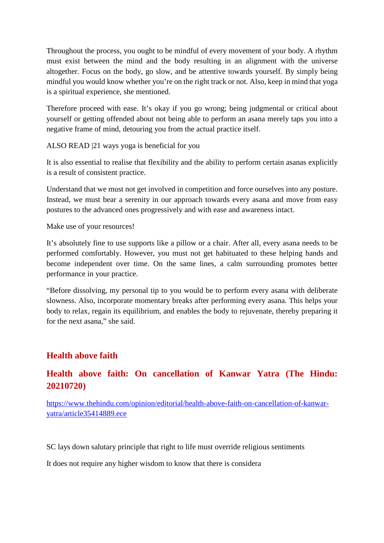Throughout the process, you ought to be mindful of every movement of your body. A rhythm must exist between the mind and the body resulting in an alignment with the universe altogether. Focus on the body, go slow, and be attentive towards yourself. By simply being mindful you would know whether you're on the right track or not. Also, keep in mind that yoga is a spiritual experience, she mentioned.

Therefore proceed with ease. It's okay if you go wrong; being judgmental or critical about yourself or getting offended about not being able to perform an asana merely taps you into a negative frame of mind, detouring you from the actual practice itself.

ALSO READ |21 ways yoga is beneficial for you

It is also essential to realise that flexibility and the ability to perform certain asanas explicitly is a result of consistent practice.

Understand that we must not get involved in competition and force ourselves into any posture. Instead, we must bear a serenity in our approach towards every asana and move from easy postures to the advanced ones progressively and with ease and awareness intact.

Make use of your resources!

It's absolutely fine to use supports like a pillow or a chair. After all, every asana needs to be performed comfortably. However, you must not get habituated to these helping hands and become independent over time. On the same lines, a calm surrounding promotes better performance in your practice.

"Before dissolving, my personal tip to you would be to perform every asana with deliberate slowness. Also, incorporate momentary breaks after performing every asana. This helps your body to relax, regain its equilibrium, and enables the body to rejuvenate, thereby preparing it for the next asana," she said.

### **Health above faith**

### **Health above faith: On cancellation of Kanwar Yatra (The Hindu: 20210720)**

https://www.thehindu.com/opinion/editorial/health-above-faith-on-cancellation-of-kanwaryatra/article35414889.ece

SC lays down salutary principle that right to life must override religious sentiments

It does not require any higher wisdom to know that there is considera